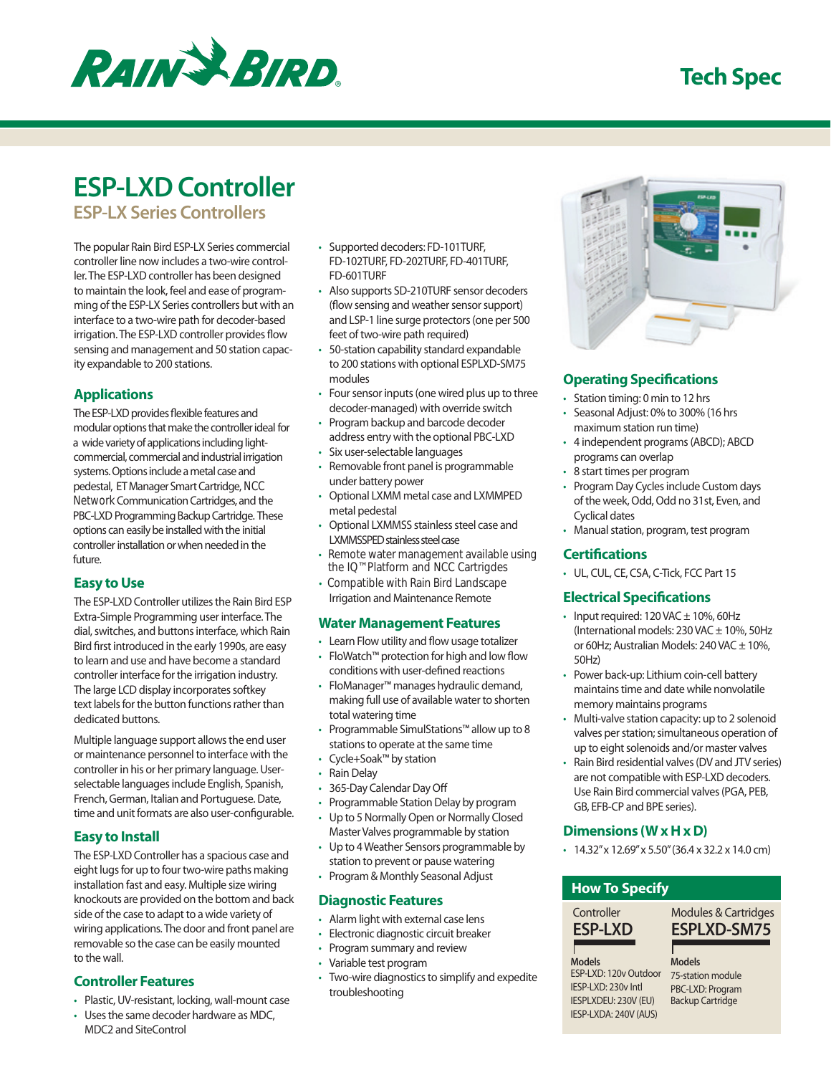

# **ESP-LXD Controller**

**ESP-LX Series Controllers** 

The popular Rain Bird ESP-LX Series commercial controller line now includes a two-wire controller. The ESP-LXD controller has been designed to maintain the look, feel and ease of programming of the ESP-LX Series controllers but with an interface to a two-wire path for decoder-based irrigation. The ESP-LXD controller provides flow sensing and management and 50 station capacity expandable to 200 stations.

# **Applications**

The ESP-LXD provides flexible features and modular options that make the controller ideal for a wide variety of applications including lightcommercial, commercial and industrial irrigation systems. Options include a metal case and pedestal, ET Manager Smart Cartridge, NCC Network Communication Cartridges, and the PBC-LXD Programming Backup Cartridge. These options can easily be installed with the initial controller installation or when needed in the future.

# **Easy to Use**

The ESP-LXD Controller utilizes the Rain Bird ESP Extra-Simple Programming user interface. The dial, switches, and buttons interface, which Rain Bird first introduced in the early 1990s, are easy to learn and use and have become a standard controller interface for the irrigation industry. The large LCD display incorporates softkey text labels for the button functions rather than dedicated buttons.

Multiple language support allows the end user or maintenance personnel to interface with the controller in his or her primary language. Userselectable languages include English, Spanish, French, German, Italian and Portuguese. Date, time and unit formats are also user-configurable.

# **Easy to Install**

The ESP-LXD Controller has a spacious case and eight lugs for up to four two-wire paths making installation fast and easy. Multiple size wiring knockouts are provided on the bottom and back side of the case to adapt to a wide variety of wiring applications. The door and front panel are removable so the case can be easily mounted to the wall.

# **Controller Features**

- • Plastic, UV-resistant, locking, wall-mount case
- Uses the same decoder hardware as MDC,
- Supported decoders: FD-101TURF, FD-102TURF, FD-202TURF, FD-401TURF, FD-601TURF
- Also supports SD-210TURF sensor decoders (flow sensing and weather sensor support) and LSP-1 line surge protectors (one per 500 feet of two-wire path required)
- • 50-station capability standard expandable to 200 stations with optional ESPLXD-SM75 modules
- Four sensor inputs (one wired plus up to three decoder-managed) with override switch
- Program backup and barcode decoder address entry with the optional PBC-LXD
- • Six user-selectable languages
- • Removable front panel is programmable under battery power
- • Optional LXMM metal case and LXMMPED metal pedestal
- Optional LXMMSS stainless steel case and LXMMSSPED stainless steel case
- Remote water management available using the IQ™ Platform and NCC Cartrigdes
- Irrigation and Maintenance Remote • Compatible with Rain Bird Landscape

### **Water Management Features**

- Learn Flow utility and flow usage totalizer
- conditions with user-defined reactions • FloWatch™ protection for high and low flow
- FloManager™ manages hydraulic demand, making full use of available water to shorten total watering time
- Programmable SimulStations™ allow up to 8 stations to operate at the same time
- Cycle+Soak™ by station
- **Rain Delay**
- 365-Day Calendar Day Off
- • Programmable Station Delay by program
- Up to 5 Normally Open or Normally Closed Master Valves programmable by station
- • Up to 4 Weather Sensors programmable by station to prevent or pause watering
- Program & Monthly Seasonal Adjust

# **Diagnostic Features**

- • Alarm light with external case lens
- • Electronic diagnostic circuit breaker
- • Program summary and review
- • Variable test program
- Two-wire diagnostics to simplify and expedite troubleshooting



# **Operating Specifications**

- • Station timing: 0 min to 12 hrs
- • Seasonal Adjust: 0% to 300% (16 hrs maximum station run time)
- 4 independent programs (ABCD); ABCD programs can overlap
- 8 start times per program
- Program Day Cycles include Custom days of the week, Odd, Odd no 31st, Even, and Cyclical dates
- • Manual station, program, test program

# **Certifications**

• UL, CUL, CE, CSA, C-Tick, FCC Part 15

# **Electrical Specifications**

- Input required:  $120$  VAC  $\pm$  10%, 60Hz (International models:  $230$  VAC  $\pm$  10%, 50Hz or 60Hz; Australian Models:  $240$  VAC  $\pm$  10%, 50Hz)
- Power back-up: Lithium coin-cell battery maintains time and date while nonvolatile memory maintains programs
- Multi-valve station capacity: up to 2 solenoid valves per station; simultaneous operation of up to eight solenoids and/or master valves
- Rain Bird residential valves (DV and JTV series) are not compatible with ESP-LXD decoders. Use Rain Bird commercial valves (PGA, PEB, GB, EFB-CP and BPE series).

# **Dimensions (W x H x D)**

 $\cdot$  14.32" x 12.69" x 5.50" (36.4 x 32.2 x 14.0 cm)

# **How To Specify**

**ESP-LXD ESPLXD-SM75** Controller Modules & Cartridges

**Models** ESP-LXD: 120v Outdoor

IESP-LXD: 230v Intl IESPLXDEU: 230V (EU) IESP-LXDA: 240V (AUS) **Models** 75-station module PBC-LXD: Program Backup Cartridge

MDC2 and SiteControl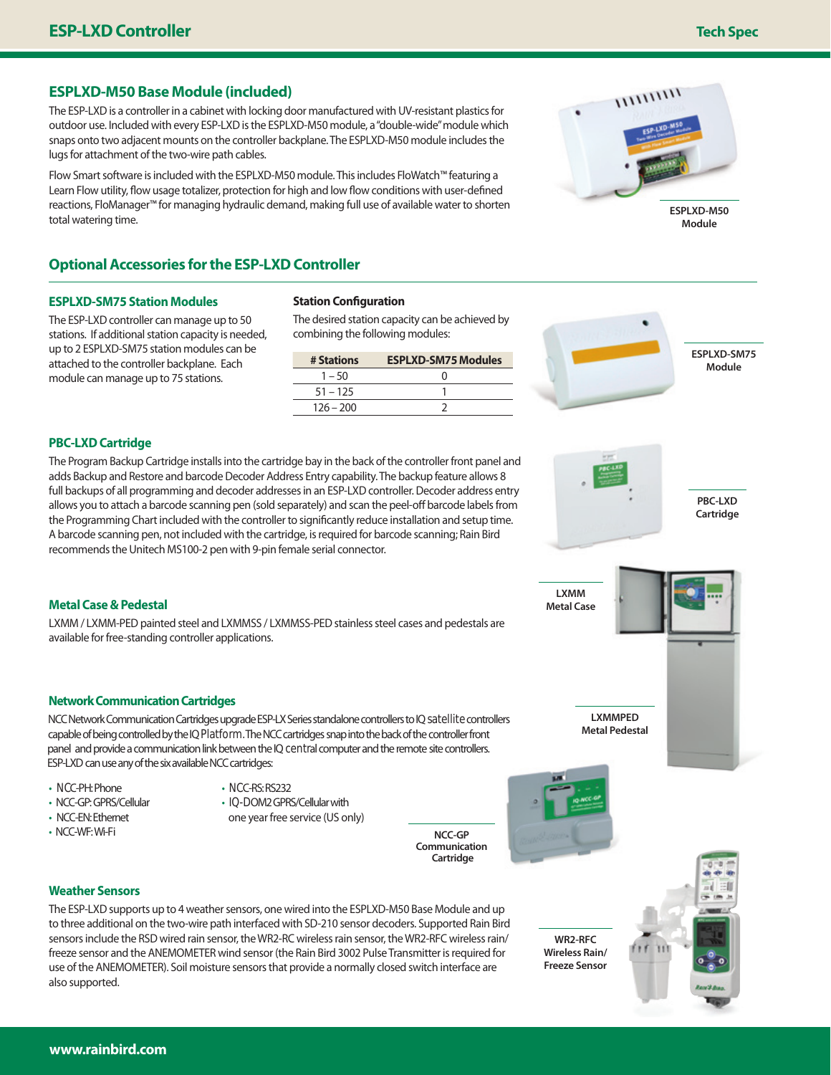# **ESPLXD-M50 Base Module (included)**

The ESP-LXD is a controller in a cabinet with locking door manufactured with UV-resistant plastics for outdoor use. Included with every ESP-LXD is the ESPLXD-M50 module, a "double-wide" module which snaps onto two adjacent mounts on the controller backplane. The ESPLXD-M50 module includes the lugs for attachment of the two-wire path cables.

Flow Smart software is included with the ESPLXD-M50 module. This includes FloWatch™ featuring a Learn Flow utility, flow usage totalizer, protection for high and low flow conditions with user-defined reactions, FloManager™ for managing hydraulic demand, making full use of available water to shorten total watering time.

# **Optional Accessories for the ESP-LXD Controller**

#### **ESPLXD-SM75 Station Modules**

The ESP-LXD controller can manage up to 50 stations. If additional station capacity is needed, up to 2 ESPLXD-SM75 station modules can be attached to the controller backplane. Each module can manage up to 75 stations.

#### **Station Configuration**

The desired station capacity can be achieved by combining the following modules:

| # Stations  | <b>ESPLXD-SM75 Modules</b> |
|-------------|----------------------------|
| $1 - 50$    | 0                          |
| $51 - 125$  |                            |
| $126 - 200$ |                            |

# **ESPLXD-SM75 Module**

### **PBC-LXD Cartridge**

The Program Backup Cartridge installs into the cartridge bay in the back of the controller front panel and adds Backup and Restore and barcode Decoder Address Entry capability. The backup feature allows 8 full backups of all programming and decoder addresses in an ESP-LXD controller. Decoder address entry allows you to attach a barcode scanning pen (sold separately) and scan the peel-off barcode labels from the Programming Chart included with the controller to significantly reduce installation and setup time. A barcode scanning pen, not included with the cartridge, is required for barcode scanning; Rain Bird recommends the Unitech MS100-2 pen with 9-pin female serial connector.



LXMM / LXMM-PED painted steel and LXMMSS / LXMMSS-PED stainless steel cases and pedestals are available for free-standing controller applications.

#### **Network Communication Cartridges**

NCC Network Communication Cartridges upgrade ESP-LX Series standalone controllers to IQ satellite controllers capable of being controlled by the IQ Platform.The NCC cartridges snap into the back of the controller front panel and provide a communication link between the IQ central computer and the remote site controllers. ESP-LXD can use any of the six available NCC cartridges:

- NCC-PH: Phone
- NCC-GP: GPRS/Cellular
- NCC-EN: Ethernet

**Weather Sensors**

also supported.

- 
- NCC-RS: RS232
- IQ-DOM2 GPRS/Cellular with

one year free service (US only)

**WR2-RFC Wireless Rain/ Freeze Sensor**

**LXMMPED Metal Pedestal**

**LXMM Metal Case**

**ESPLXD-M50 Module**

 $1111111111$ 

**Cartridge**





• NCC-WF: Wi-Fi **NCC-GP** 

The ESP-LXD supports up to 4 weather sensors, one wired into the ESPLXD-M50 Base Module and up to three additional on the two-wire path interfaced with SD-210 sensor decoders. Supported Rain Bird sensors include the RSD wired rain sensor, the WR2-RC wireless rain sensor, the WR2-RFC wireless rain/ freeze sensor and the ANEMOMETER wind sensor (the Rain Bird 3002 Pulse Transmitter is required for use of the ANEMOMETER). Soil moisture sensors that provide a normally closed switch interface are

**Communication Cartridge**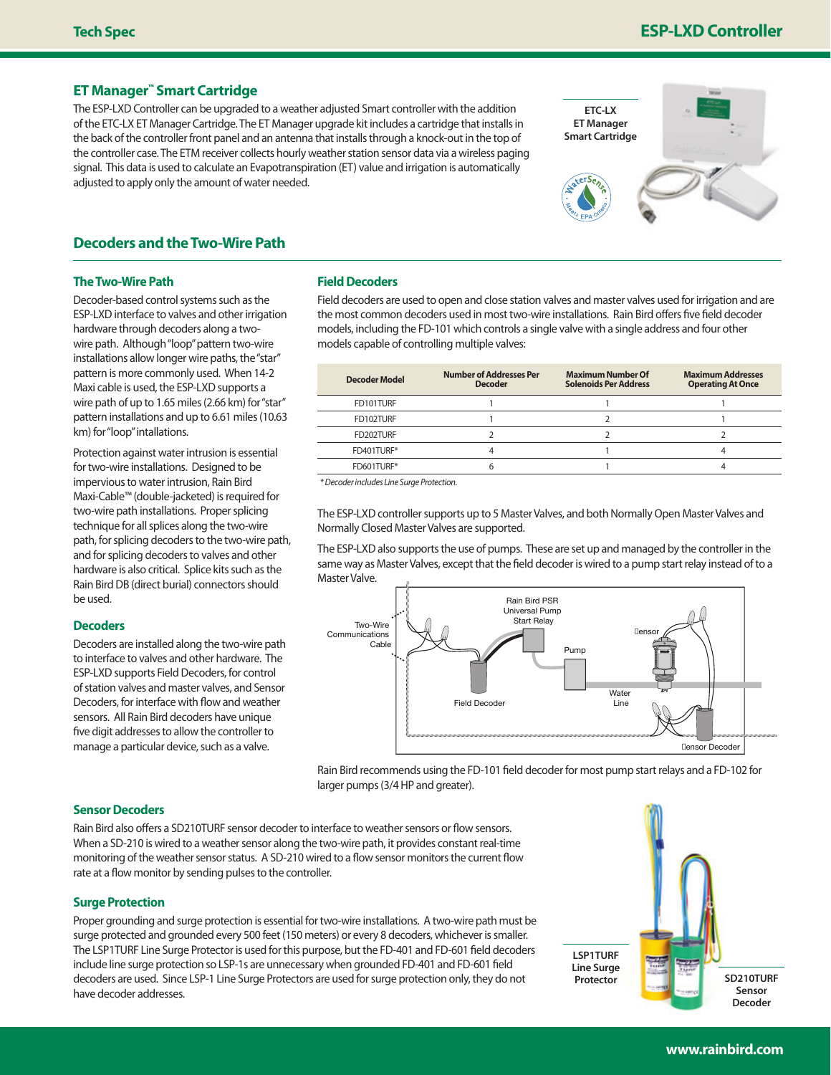# **Tech Spec ESP-LXD Controller**

### **ET Manager™ Smart Cartridge**

The ESP-LXD Controller can be upgraded to a weather adjusted Smart controller with the addition of the ETC-LX ET Manager Cartridge. The ET Manager upgrade kit includes a cartridge that installs in the back of the controller front panel and an antenna that installs through a knock-out in the top of the controller case. The ETM receiver collects hourly weather station sensor data via a wireless paging signal. This data is used to calculate an Evapotranspiration (ET) value and irrigation is automatically adjusted to apply only the amount of water needed.



# **Decoders and the Two-Wire Path**

#### **The Two-Wire Path**

Decoder-based control systems such as the ESP-LXD interface to valves and other irrigation hardware through decoders along a twowire path. Although "loop" pattern two-wire installations allow longer wire paths, the "star" pattern is more commonly used. When 14-2 Maxi cable is used, the ESP-LXD supports a wire path of up to 1.65 miles (2.66 km) for "star" pattern installations and up to 6.61 miles (10.63 km) for "loop" intallations.

Protection against water intrusion is essential for two-wire installations. Designed to be impervious to water intrusion, Rain Bird Maxi-Cable™ (double-jacketed) is required for two-wire path installations. Proper splicing technique for all splices along the two-wire path, for splicing decoders to the two-wire path, and for splicing decoders to valves and other hardware is also critical. Splice kits such as the Rain Bird DB (direct burial) connectors should be used.

#### **Decoders**

Decoders are installed along the two-wire path to interface to valves and other hardware. The ESP-LXD supports Field Decoders, for control of station valves and master valves, and Sensor Decoders, for interface with flow and weather sensors. All Rain Bird decoders have unique five digit addresses to allow the controller to manage a particular device, such as a valve.

#### **Field Decoders**

Field decoders are used to open and close station valves and master valves used for irrigation and are the most common decoders used in most two-wire installations. Rain Bird offers five field decoder models, including the FD-101 which controls a single valve with a single address and four other models capable of controlling multiple valves:

| Decoder Model | <b>Number of Addresses Per</b><br>Decoder | <b>Maximum Number Of</b><br><b>Solenoids Per Address</b> | <b>Maximum Addresses</b><br><b>Operating At Once</b> |
|---------------|-------------------------------------------|----------------------------------------------------------|------------------------------------------------------|
| FD101TURF     |                                           |                                                          |                                                      |
| FD102TURF     |                                           |                                                          |                                                      |
| FD202TURF     |                                           |                                                          |                                                      |
| FD401TURF*    |                                           |                                                          |                                                      |
| FD601TURF*    |                                           |                                                          |                                                      |

*\* Decoder includes Line Surge Protection.*

The ESP-LXD controller supports up to 5 Master Valves, and both Normally Open Master Valves and Normally Closed Master Valves are supported.

The ESP-LXD also supports the use of pumps. These are set up and managed by the controller in the same way as Master Valves, except that the field decoder is wired to a pump start relay instead of to a Master Valve.



Rain Bird recommends using the FD-101 field decoder for most pump start relays and a FD-102 for larger pumps (3/4 HP and greater).

### **Sensor Decoders**

Rain Bird also offers a SD210TURF sensor decoder to interface to weather sensors or flow sensors. When a SD-210 is wired to a weather sensor along the two-wire path, it provides constant real-time monitoring of the weather sensor status. A SD-210 wired to a flow sensor monitors the current flow rate at a flow monitor by sending pulses to the controller.

#### **Surge Protection**

Proper grounding and surge protection is essential for two-wire installations. A two-wire path must be surge protected and grounded every 500 feet (150 meters) or every 8 decoders, whichever is smaller. The LSP1TURF Line Surge Protector is used for this purpose, but the FD-401 and FD-601 field decoders include line surge protection so LSP-1s are unnecessary when grounded FD-401 and FD-601 field decoders are used. Since LSP-1 Line Surge Protectors are used for surge protection only, they do not have decoder addresses.